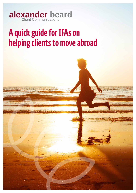

# **A quick guide for IFAs on helping clients to move abroad**

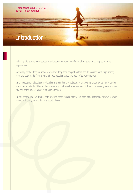### Telephone: 0151 346 5460 Email: info@abg.net

## **Introduction**

Advising clients on a move abroad is a situation more and more financial advisers are coming across on a regular basis.

According to the Office for National Statistics, long-term emigration from the UK has increased "significantly" over the last decade, from around 363,000 people in 2002 to a peak of 427,000 in 2010.

In an increasingly globalised world, clients are finding work abroad, or discovering that they can retire to their dream expatriate life. When a client comes to you with such a requirement, it doesn't necessarily have to mean the end of the adviser/client relationship though.

In this short guide, we discuss both practical steps you can take with clients immediately and how we can help you to maintain your position as trusted adviser.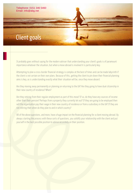## Client goals

Telephone: 0151 346 5460

Email: info@abg.net

It probably goes without saying for the modern adviser that understanding your client's goals is of paramount importance whatever the situation, but when a move abroad is involved it is particularly key.

Attempting to plan a cross-border financial strategy is complex at the best of times and can be made labyrinth if the client is not certain on their own plans. Because of this, getting the client to pin down their financial planning aims is key, as is understanding exactly what their situation will be, once they move aboard.

Are they moving away permanently or planning on returning to the UK? Are they going to have dual citizenship in their new country of residence? When?

Are they retiring from their regular employment as part of this move? If so, do they have any sources of income other than their pension? Perhaps from a property they currently let out? If they are going to be employed then will the organisation pay their wage in their new country of residence or from a subsidiary in the UK? If they are not retiring then when do they plan to and in which country?

All of the above questions, and more, have a huge impact on the financial planning for a client moving abroad. By always starting the process with these sorts of questions, you solidify your relationship with the client and put yourself in the best possible position to advise accurately on their position.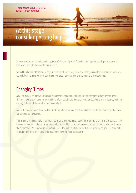## At this stage, consider getting help

If you do not normally advise on foreign tax affairs or emigration financial planning then at this point we would advise you to contact Alexander Beard Group.

We will handle the interactions with your client in whatever way is best for both you and the client but, importantly, we will always ensure we work to protect your often longstanding and valuable client relationship.

## Changing Times

Advising a client on a move abroad can also create a need to keep up to date on changing foreign finance affairs that may have already been introduced in whole or part by the time the client has decided to move, but may be in an entirely different state once the client is resident.

A recent example comes from the US' FATCA law, which has seen the demands from the IRS for client's proof of their tax compliance sky rocket.

This is also a prime example of a popular solution proving to have a downfall. Though a QROPS transfer to Malta may have once been attractive to UK expats moving to the US, this type of move now brings client's pension funds under the auspices of FATCA, potentially creating a large tax liability. It is exactly this sort of situation advisers need to be careful of and then, after the advice has been delivered, keep abreast of!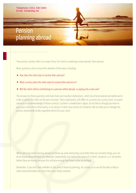## Telephone: 0151 346 5460 Email: info@abg.net

## Pension planning abroad

The previous section refers to a major factor for clients in planning a move abroad: their pension.

Many questions will surround this element of the move, including;

- How does the client plan to receive their pension?
- What currency does the client want to receive their pension in?
- Will the client still be contributing to a pension whilst abroad, or paying into a new one?

The answers to those questions and more have vast taxation implications, which must be answered and addressed in order to advise the client on the best outcome. These implications will differ on a country-by-country basis so expert advice or a sound knowledge of those country's systems is needed here. Again, do not feel as though you have to pass your client on to a third party, or an adviser in their new country of residence. We can help you to manage the process and provide locally-regulated advice for your client.

Whilst advising clients moving abroad can throw up some interesting curve balls there are certainly things you can do to ensure these are kept to a minimum. Importantly, you need to be aware of a client's situation 12 or 18 months before they are moving because this will give enough lead time to plan accordingly.

Remember, if you don't feel confident in this area of financial planning, do contact us as we will be able to help in what could potentially turn out to be a very sticky situation.